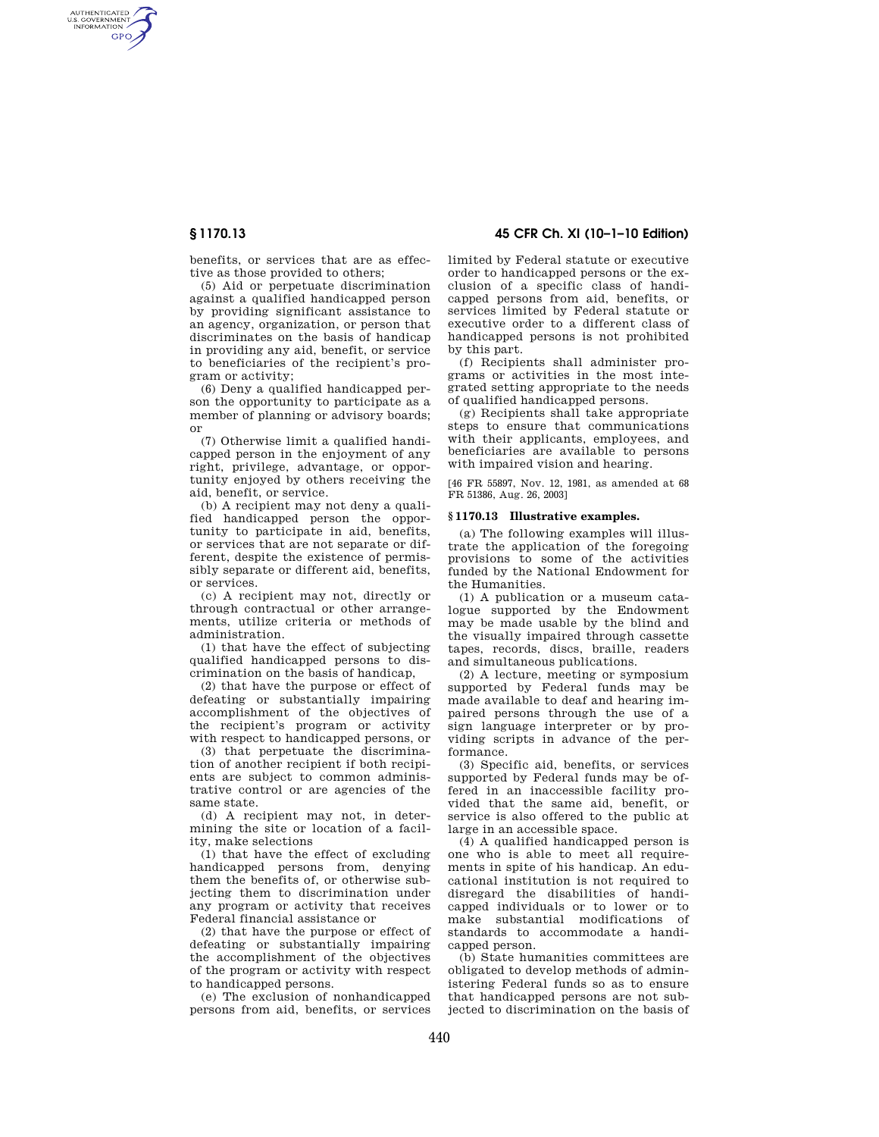AUTHENTICATED<br>U.S. GOVERNMENT<br>INFORMATION **GPO** 

**§ 1170.13 45 CFR Ch. XI (10–1–10 Edition)** 

benefits, or services that are as effective as those provided to others;

(5) Aid or perpetuate discrimination against a qualified handicapped person by providing significant assistance to an agency, organization, or person that discriminates on the basis of handicap in providing any aid, benefit, or service to beneficiaries of the recipient's program or activity;

(6) Deny a qualified handicapped person the opportunity to participate as a member of planning or advisory boards; or

(7) Otherwise limit a qualified handicapped person in the enjoyment of any right, privilege, advantage, or opportunity enjoyed by others receiving the aid, benefit, or service.

(b) A recipient may not deny a qualified handicapped person the opportunity to participate in aid, benefits, or services that are not separate or different, despite the existence of permissibly separate or different aid, benefits, or services.

(c) A recipient may not, directly or through contractual or other arrangements, utilize criteria or methods of administration.

(1) that have the effect of subjecting qualified handicapped persons to discrimination on the basis of handicap,

(2) that have the purpose or effect of defeating or substantially impairing accomplishment of the objectives of the recipient's program or activity with respect to handicapped persons, or

(3) that perpetuate the discrimination of another recipient if both recipients are subject to common administrative control or are agencies of the same state.

(d) A recipient may not, in determining the site or location of a facility, make selections

(1) that have the effect of excluding handicapped persons from, denying them the benefits of, or otherwise subjecting them to discrimination under any program or activity that receives Federal financial assistance or

(2) that have the purpose or effect of defeating or substantially impairing the accomplishment of the objectives of the program or activity with respect to handicapped persons.

(e) The exclusion of nonhandicapped persons from aid, benefits, or services limited by Federal statute or executive order to handicapped persons or the exclusion of a specific class of handicapped persons from aid, benefits, or services limited by Federal statute or executive order to a different class of handicapped persons is not prohibited by this part.

(f) Recipients shall administer programs or activities in the most integrated setting appropriate to the needs of qualified handicapped persons.

(g) Recipients shall take appropriate steps to ensure that communications with their applicants, employees, and beneficiaries are available to persons with impaired vision and hearing.

[46 FR 55897, Nov. 12, 1981, as amended at 68 FR 51386, Aug. 26, 2003]

### **§ 1170.13 Illustrative examples.**

(a) The following examples will illustrate the application of the foregoing provisions to some of the activities funded by the National Endowment for the Humanities.

(1) A publication or a museum catalogue supported by the Endowment may be made usable by the blind and the visually impaired through cassette tapes, records, discs, braille, readers and simultaneous publications.

(2) A lecture, meeting or symposium supported by Federal funds may be made available to deaf and hearing impaired persons through the use of a sign language interpreter or by providing scripts in advance of the performance.

(3) Specific aid, benefits, or services supported by Federal funds may be offered in an inaccessible facility provided that the same aid, benefit, or service is also offered to the public at large in an accessible space.

(4) A qualified handicapped person is one who is able to meet all requirements in spite of his handicap. An educational institution is not required to disregard the disabilities of handicapped individuals or to lower or to make substantial modifications of standards to accommodate a handicapped person.

(b) State humanities committees are obligated to develop methods of administering Federal funds so as to ensure that handicapped persons are not subjected to discrimination on the basis of